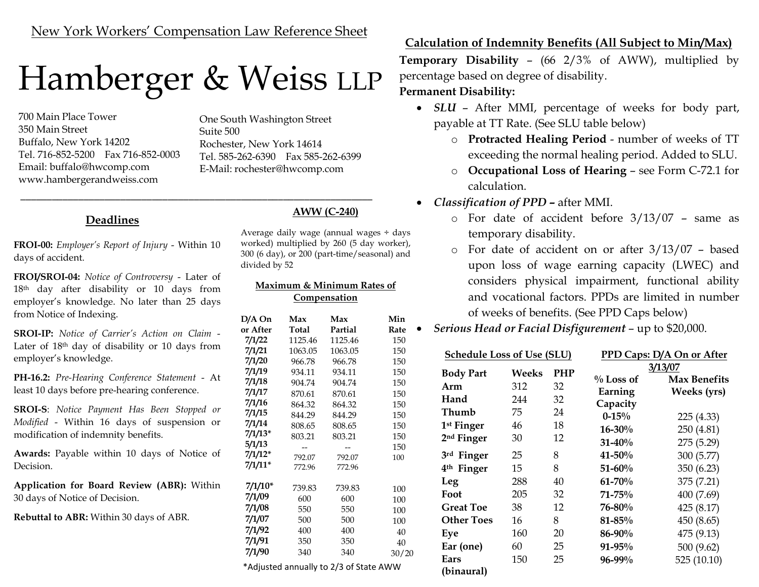# Hamberger & Weiss LLP

\_\_\_\_\_\_\_\_\_\_\_\_\_\_\_\_\_\_\_\_\_\_\_\_\_\_\_\_\_\_\_\_\_\_\_\_\_\_\_\_\_\_\_\_\_\_\_\_\_\_\_\_\_\_\_\_\_\_\_\_\_\_\_\_\_\_\_

700 Main Place Tower 350 Main Street Buffalo, New York 14202 Tel. 716-852-5200 Fax 716-852-0003 Email: buffalo@hwcomp.com www.hambergerandweiss.com

One South Washington Street Suite 500 Rochester, New York 14614 Tel. 585-262-6390 Fax 585-262-6399 E-Mail: rochester@hwcomp.com

# Deadlines

FROI-00: Employer's Report of Injury - Within 10 days of accident.

FROI/SROI-04: Notice of Controversy - Later of 18th day after disability or 10 days from employer's knowledge. No later than 25 days from Notice of Indexing.

SROI-IP: Notice of Carrier's Action on Claim - Later of 18<sup>th</sup> day of disability or 10 days from employer's knowledge.

PH-16.2: Pre-Hearing Conference Statement - At least 10 days before pre-hearing conference.

SROI-S: Notice Payment Has Been Stopped or Modified - Within 16 days of suspension or modification of indemnity benefits.

Awards: Payable within 10 days of Notice of Decision.

Application for Board Review (ABR): Within 30 days of Notice of Decision.

Rebuttal to ABR: Within 30 days of ABR.

### AWW (C-240)

Average daily wage (annual wages ÷ days worked) multiplied by 260 (5 day worker), 300 (6 day), or 200 (part-time/seasonal) and divided by 52

#### Maximum & Minimum Rates of Compensation

| D/A On    | Max<br>Max |                                               | Min   |  |
|-----------|------------|-----------------------------------------------|-------|--|
| or After  | Total      | Partial                                       | Rate  |  |
| 7/1/22    | 1125.46    | 1125.46                                       | 150   |  |
| 7/1/21    | 1063.05    | 1063.05                                       | 150   |  |
| 7/1/20    | 966.78     | 966.78                                        | 150   |  |
| 7/1/19    | 934.11     | 934.11                                        | 150   |  |
| 7/1/18    | 904.74     | 904.74                                        | 150   |  |
| 7/1/17    | 870.61     | 870.61                                        | 150   |  |
| 7/1/16    | 864.32     | 864.32                                        | 150   |  |
| 7/1/15    | 844.29     | 844.29                                        | 150   |  |
| 7/1/14    | 808.65     | 808.65                                        | 150   |  |
| $7/1/13*$ | 803.21     | 803.21                                        | 150   |  |
| 5/1/13    |            |                                               | 150   |  |
| 7/1/12*   | 792.07     | 792.07                                        | 100   |  |
| $7/1/11*$ | 772.96     | 772.96                                        |       |  |
| 7/1/10*   | 739.83     | 739.83                                        | 100   |  |
| 7/1/09    | 600        | 600                                           | 100   |  |
| 7/1/08    | 550        | 550                                           | 100   |  |
| 7/1/07    | 500        | 500                                           | 100   |  |
| 7/1/92    | 400        | 400                                           | 40    |  |
| 7/1/91    | 350        | 350                                           | 40    |  |
| 7/1/90    | 340        | 340                                           | 30/20 |  |
|           |            | $*$ Adjusted annually to $2/2$ of State AM/M/ |       |  |

### Adjusted annually to 2/3 of State AWW

# Calculation of Indemnity Benefits (All Subject to Min/Max)

Temporary Disability – (66 2/3% of AWW), multiplied by percentage based on degree of disability.

## Permanent Disability:

- SLU After MMI, percentage of weeks for body part, payable at TT Rate. (See SLU table below)
	- o Protracted Healing Period number of weeks of TT exceeding the normal healing period. Added to SLU.
	- o Occupational Loss of Hearing see Form C-72.1 for calculation.
- Classification of PPD after MMI.
	- o For date of accident before 3/13/07 same as temporary disability.
	- o For date of accident on or after 3/13/07 based upon loss of wage earning capacity (LWEC) and considers physical impairment, functional ability and vocational factors. PPDs are limited in number of weeks of benefits. (See PPD Caps below)
- Serious Head or Facial Disfigurement up to \$20,000.

| <b>Schedule Loss of Use (SLU)</b> |       |            | PPD Caps: D/A On or After |                     |
|-----------------------------------|-------|------------|---------------------------|---------------------|
| <b>Body Part</b>                  | Weeks | <b>PHP</b> | 3/13/07                   |                     |
| Arm                               | 312   | 32         | $\%$ Loss of              | <b>Max Benefits</b> |
| Hand                              | 244   | 32         | Earning<br>Capacity       | Weeks (yrs)         |
| Thumb                             | 75    | 24         | $0 - 15%$                 | 225 (4.33)          |
| 1 <sup>st</sup> Finger            | 46    | 18         | $16 - 30%$                | 250 (4.81)          |
| 2 <sup>nd</sup> Finger            | 30    | 12         | $31 - 40\%$               | 275 (5.29)          |
| 3rd Finger                        | 25    | 8          | $41 - 50\%$               | 300 (5.77)          |
| 4 <sup>th</sup> Finger            | 15    | 8          | $51 - 60%$                | 350 (6.23)          |
| Leg                               | 288   | 40         | $61 - 70%$                | 375 (7.21)          |
| Foot                              | 205   | 32         | $71 - 75%$                | 400 (7.69)          |
| <b>Great Toe</b>                  | 38    | 12         | 76-80%                    | 425 (8.17)          |
| <b>Other Toes</b>                 | 16    | 8          | $81 - 85\%$               | 450 (8.65)          |
| Eye                               | 160   | 20         | 86-90%                    | 475 (9.13)          |
| Ear (one)                         | 60    | 25         | $91 - 95\%$               | 500 (9.62)          |
| Ears                              | 150   | 25         | $96 - 99\%$               | 525 (10.10)         |
| (binaural)                        |       |            |                           |                     |